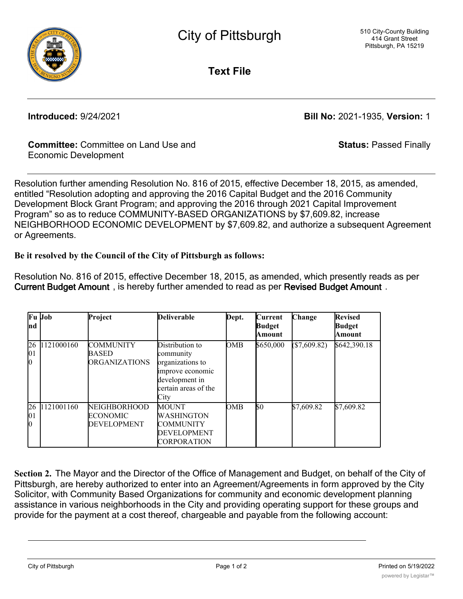

**Text File**

**Introduced:** 9/24/2021 **Bill No:** 2021-1935, **Version:** 1

**Status:** Passed Finally

## **Committee:** Committee on Land Use and Economic Development

Resolution further amending Resolution No. 816 of 2015, effective December 18, 2015, as amended, entitled "Resolution adopting and approving the 2016 Capital Budget and the 2016 Community Development Block Grant Program; and approving the 2016 through 2021 Capital Improvement Program" so as to reduce COMMUNITY-BASED ORGANIZATIONS by \$7,609.82, increase NEIGHBORHOOD ECONOMIC DEVELOPMENT by \$7,609.82, and authorize a subsequent Agreement or Agreements.

## **Be it resolved by the Council of the City of Pittsburgh as follows:**

Resolution No. 816 of 2015, effective December 18, 2015, as amended, which presently reads as per **Current Budget Amount** , is hereby further amended to read as per **Revised Budget Amount** .

| Ind                              | Fu Job     | Project                                                  | <b>Deliverable</b>                                                                                                     | Dept. | Current<br><b>Budget</b><br>Amount | Change       | <b>Revised</b><br><b>Budget</b><br>Amount |
|----------------------------------|------------|----------------------------------------------------------|------------------------------------------------------------------------------------------------------------------------|-------|------------------------------------|--------------|-------------------------------------------|
| <b>26</b><br> 01<br>$\mathbf{0}$ | 1121000160 | <b>COMMUNITY</b><br><b>BASED</b><br><b>ORGANIZATIONS</b> | Distribution to<br>community<br>organizations to<br>improve economic<br>development in<br>certain areas of the<br>City | OMB   | \$650,000                          | (\$7,609.82) | \$642,390.18                              |
| <b>26</b><br> 01<br>$\bf{0}$     | 1121001160 | <b>NEIGHBORHOOD</b><br><b>ECONOMIC</b><br>DEVELOPMENT    | MOUNT<br>WASHINGTON<br>COMMUNITY<br>DEVELOPMENT<br>CORPORATION                                                         | OMB   | \$0                                | \$7,609.82   | \$7,609.82                                |

**Section 2.** The Mayor and the Director of the Office of Management and Budget, on behalf of the City of Pittsburgh, are hereby authorized to enter into an Agreement/Agreements in form approved by the City Solicitor, with Community Based Organizations for community and economic development planning assistance in various neighborhoods in the City and providing operating support for these groups and provide for the payment at a cost thereof, chargeable and payable from the following account:

City of Pittsburgh